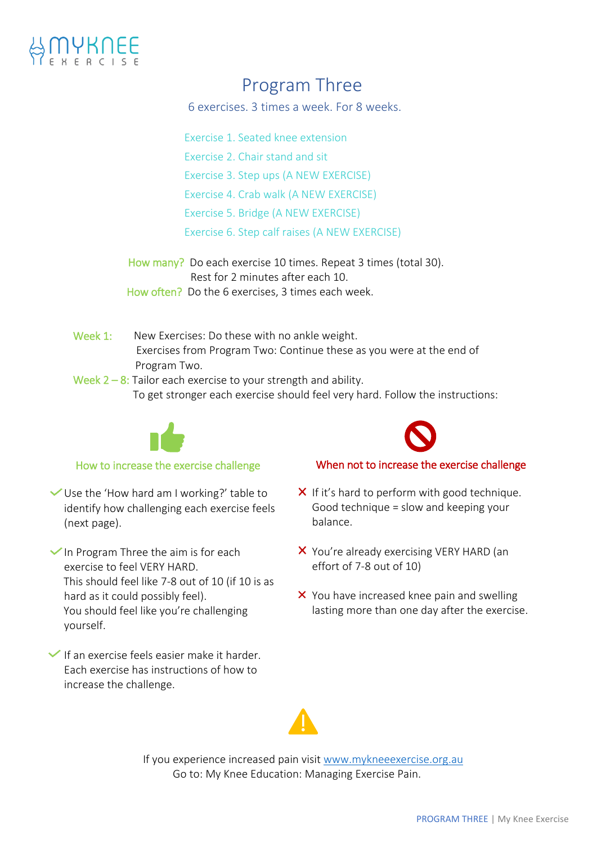

# Program Three

6 exercises. 3 times a week. For 8 weeks.

Exercise 1. Seated knee extension

Exercise 2. Chair stand and sit

Exercise 3. Step ups (A NEW EXERCISE)

Exercise 4. Crab walk (A NEW EXERCISE)

Exercise 5. Bridge (A NEW EXERCISE)

Exercise 6. Step calf raises (A NEW EXERCISE)

How many? Do each exercise 10 times. Repeat 3 times (total 30). Rest for 2 minutes after each 10. How often? Do the 6 exercises, 3 times each week.

- Week 1: New Exercises: Do these with no ankle weight. Exercises from Program Two: Continue these as you were at the end of Program Two.
- Week  $2 8$ : Tailor each exercise to your strength and ability. To get stronger each exercise should feel very hard. Follow the instructions:



# How to increase the exercise challenge

Use the 'How hard am I working?' table to identify how challenging each exercise feels (next page).

 $\checkmark$  In Program Three the aim is for each exercise to feel VERY HARD. This should feel like 7-8 out of 10 (if 10 is as hard as it could possibly feel). You should feel like you're challenging yourself.

 $\blacktriangleright$  If an exercise feels easier make it harder. Each exercise has instructions of how to increase the challenge.

# When not to increase the exercise challenge

- $\boldsymbol{\times}$  If it's hard to perform with good technique. Good technique = slow and keeping your balance.
- X You're already exercising VERY HARD (an effort of 7-8 out of 10)
- X You have increased knee pain and swelling lasting more than one day after the exercise.



If you experience increased pain visit [www.mykneeexercise.org.au](http://www.mykneeexercise.org.au/)  Go to: My Knee Education: Managing Exercise Pain.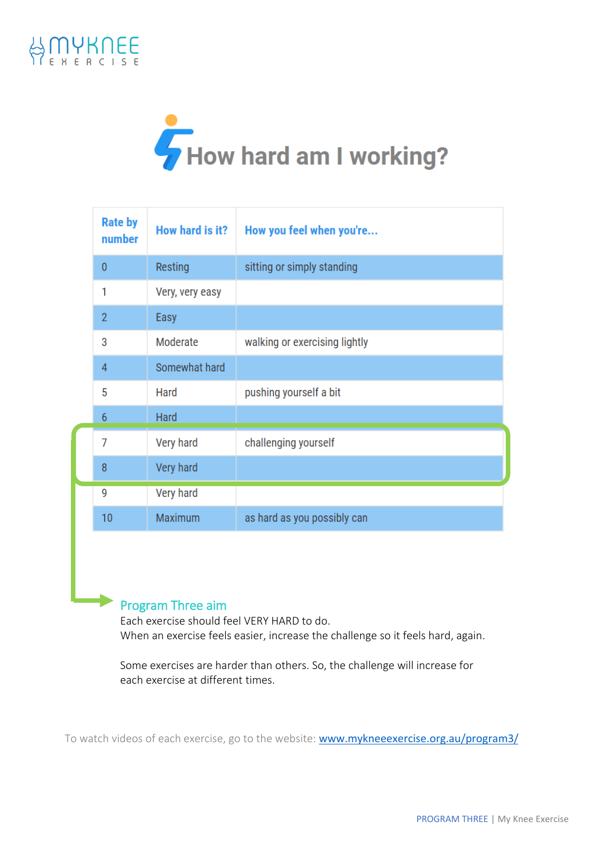



| <b>Rate by</b><br>number | How hard is it? | How you feel when you're      |
|--------------------------|-----------------|-------------------------------|
| $\mathbf{0}$             | Resting         | sitting or simply standing    |
| 1                        | Very, very easy |                               |
| $\overline{2}$           | Easy            |                               |
| 3                        | Moderate        | walking or exercising lightly |
| $\overline{4}$           | Somewhat hard   |                               |
| 5                        | Hard            | pushing yourself a bit        |
| 6                        | Hard            |                               |
| 7                        | Very hard       | challenging yourself          |
| 8                        | Very hard       |                               |
| 9                        | Very hard       |                               |
| 10                       | Maximum         | as hard as you possibly can   |

# Program Three aim

Each exercise should feel VERY HARD to do. When an exercise feels easier, increase the challenge so it feels hard, again.

Some exercises are harder than others. So, the challenge will increase for each exercise at different times.

To watch videos of each exercise, go to the website: [www.mykneeexercise.org.au/program3/](http://www.mykneeexercise.org.au/program3/)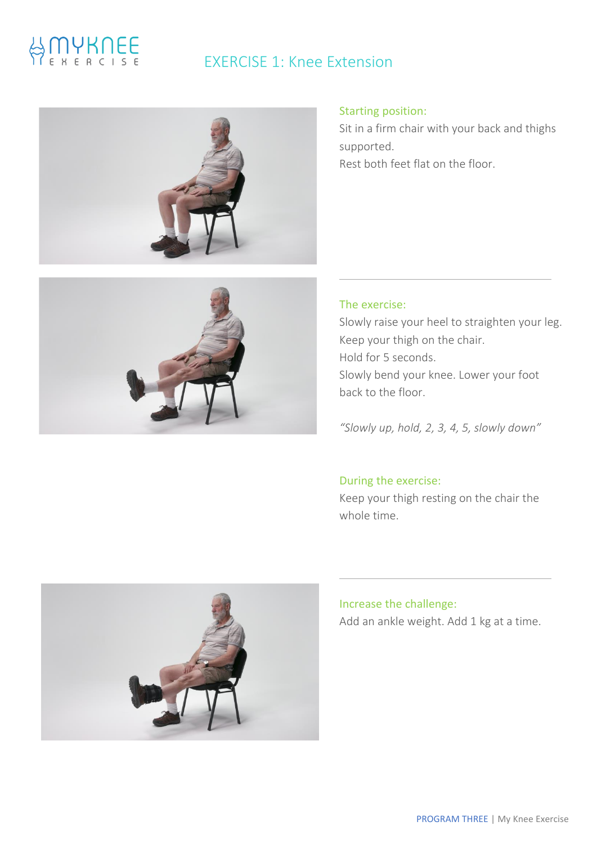# IYKNEE

# EXERCISE 1: Knee Extension





Sit in a firm chair with your back and thighs supported. Rest both feet flat on the floor.



# The exercise:

Slowly raise your heel to straighten your leg. Keep your thigh on the chair. Hold for 5 seconds. Slowly bend your knee. Lower your foot back to the floor.

*"Slowly up, hold, 2, 3, 4, 5, slowly down"*

# During the exercise:

Keep your thigh resting on the chair the whole time.



# Increase the challenge: Add an ankle weight. Add 1 kg at a time.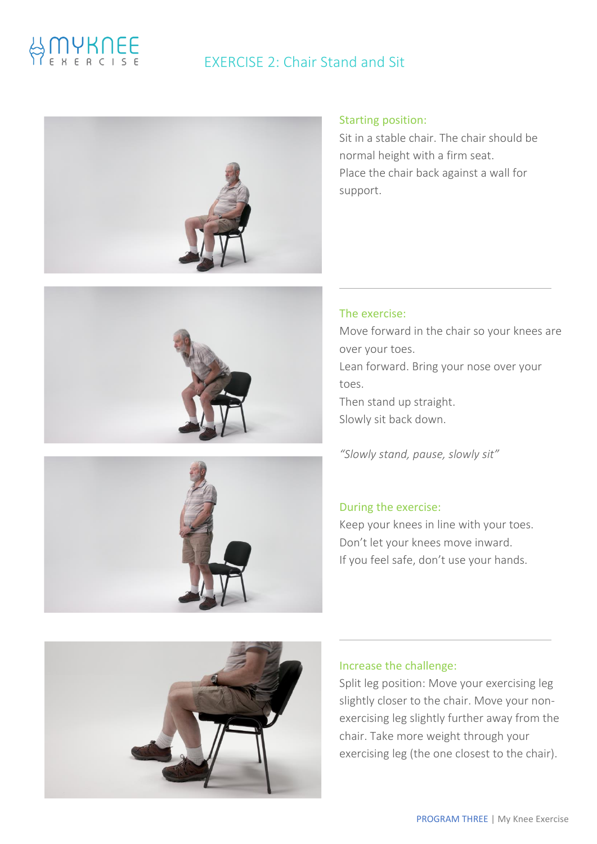# EXERCISE 2: Chair Stand and Sit





Sit in a stable chair. The chair should be normal height with a firm seat. Place the chair back against a wall for support.



*"Slowly stand, pause, slowly sit"*

# During the exercise:

Keep your knees in line with your toes. Don't let your knees move inward. If you feel safe, don't use your hands.



### Increase the challenge:

Split leg position: Move your exercising leg slightly closer to the chair. Move your nonexercising leg slightly further away from the chair. Take more weight through your exercising leg (the one closest to the chair).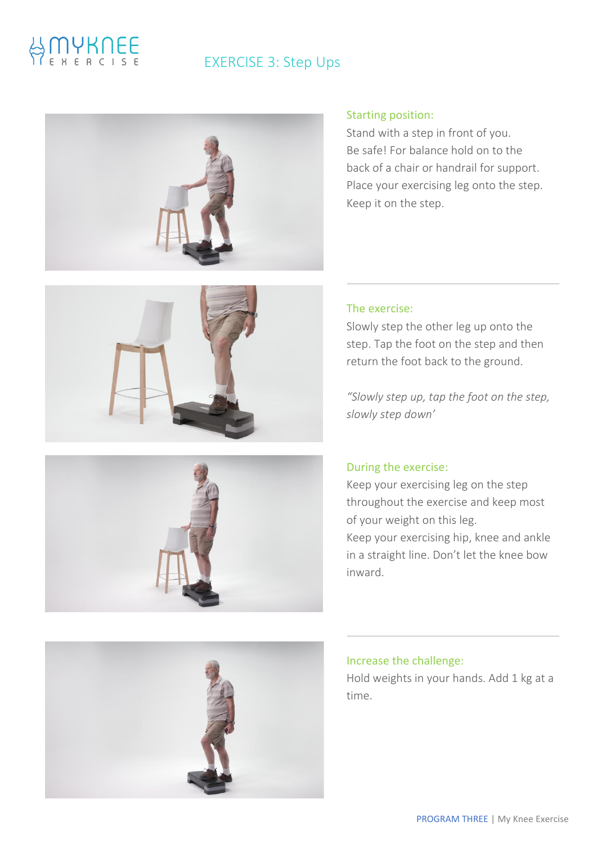# **MYKNEE**

# EXERCISE 3: Step Ups









### Starting position:

Stand with a step in front of you. Be safe! For balance hold on to the back of a chair or handrail for support. Place your exercising leg onto the step. Keep it on the step.

### The exercise:

Slowly step the other leg up onto the step. Tap the foot on the step and then return the foot back to the ground.

*"Slowly step up, tap the foot on the step, slowly step down'*

# During the exercise:

Keep your exercising leg on the step throughout the exercise and keep most of your weight on this leg. Keep your exercising hip, knee and ankle in a straight line. Don't let the knee bow inward.

## Increase the challenge:

Hold weights in your hands. Add 1 kg at a time.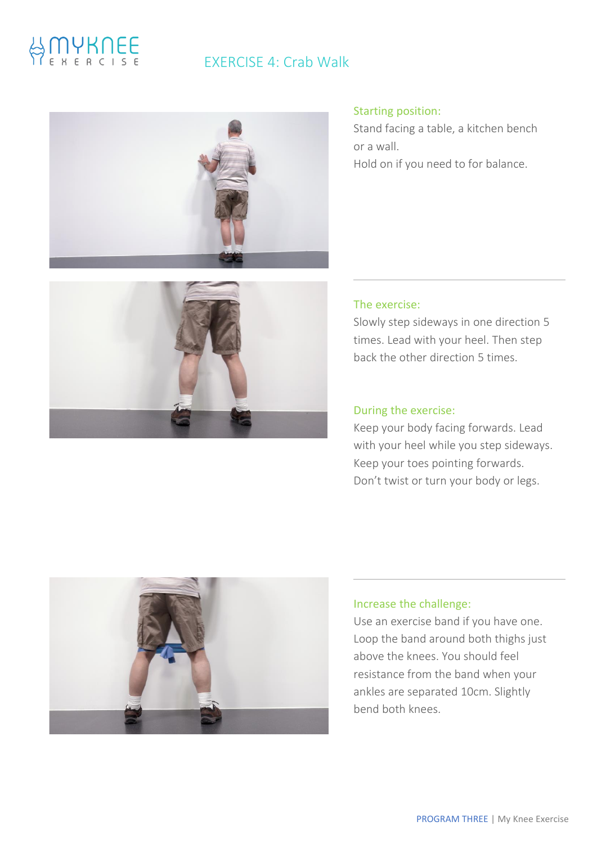# EXERCISE 4: Crab Walk



### Starting position:

Stand facing a table, a kitchen bench or a wall. Hold on if you need to for balance.



### The exercise:

Slowly step sideways in one direction 5 times. Lead with your heel. Then step back the other direction 5 times.

# During the exercise:

Keep your body facing forwards. Lead with your heel while you step sideways. Keep your toes pointing forwards. Don't twist or turn your body or legs.



### Increase the challenge:

Use an exercise band if you have one. Loop the band around both thighs just above the knees. You should feel resistance from the band when your ankles are separated 10cm. Slightly bend both knees.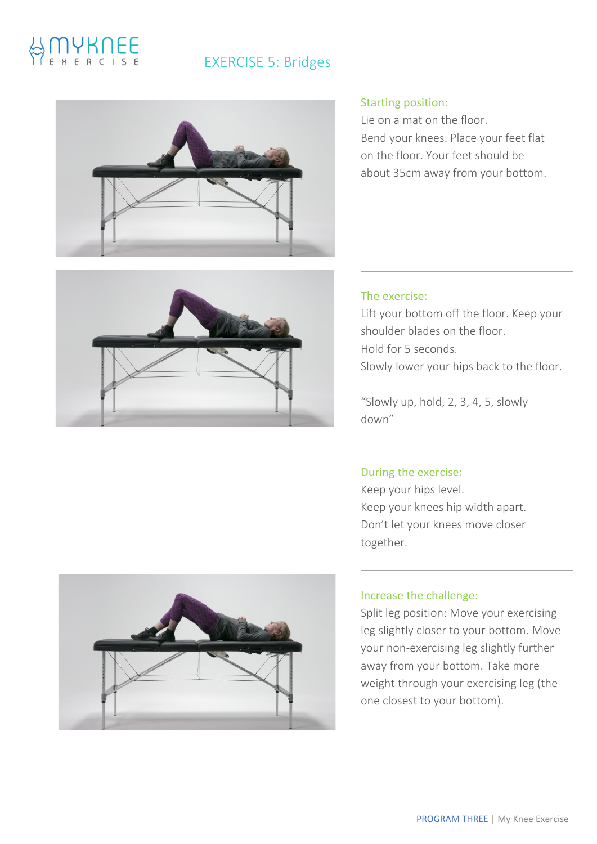# IYKNEE

# EXERCISE 5: Bridges





Lie on a mat on the floor. Bend your knees. Place your feet flat on the floor. Your feet should be about 35cm away from your bottom.



# The exercise:

Lift your bottom off the floor. Keep your shoulder blades on the floor. Hold for 5 seconds. Slowly lower your hips back to the floor.

"Slowly up, hold, 2, 3, 4, 5, slowly down"

# During the exercise:

Keep your hips level. Keep your knees hip width apart. Don't let your knees move closer together.



# Increase the challenge:

Split leg position: Move your exercising leg slightly closer to your bottom. Move your non-exercising leg slightly further away from your bottom. Take more weight through your exercising leg (the one closest to your bottom).